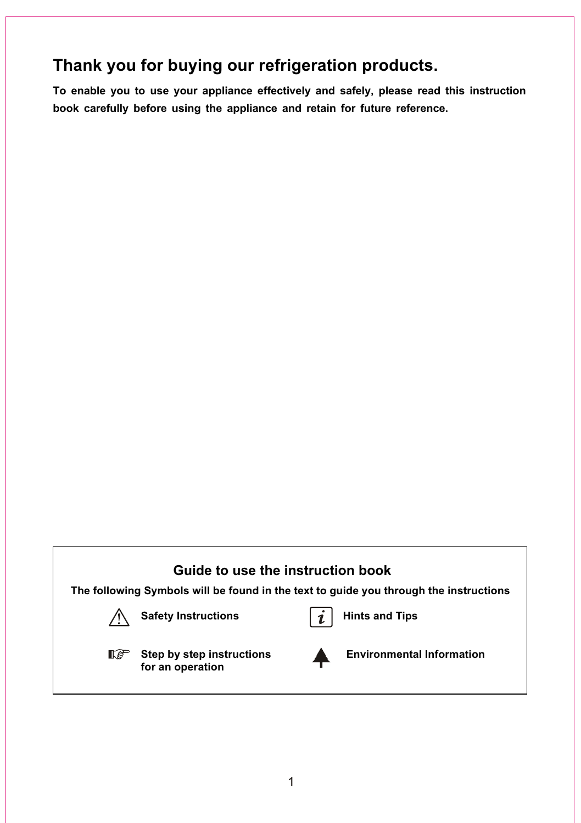## **Thank you for buying our refrigeration products.**

**To enable you to use your appliance effectively and safely, please read this instruction book carefully before using the appliance and retain for future reference.** 

## **Guide to use the instruction book**

**The following Symbols will be found in the text to guide you through the instructions**



Safety Instructions **highland** Hints and Tips





**for an operation**

**IS** Step by step instructions **A** Environmental Information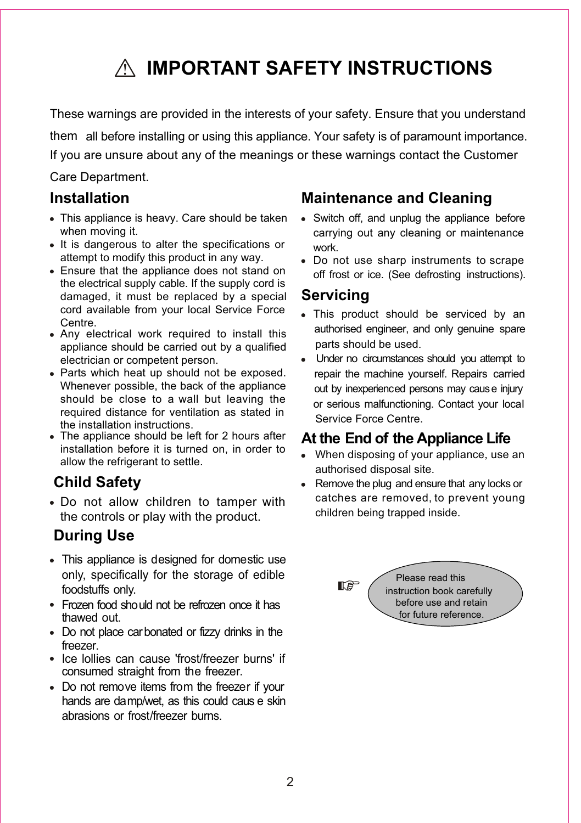## **IMPORTANT SAFETY INSTRUCTIONS**

These warnings are provided in the interests of your safety. Ensure that you understand them all before installing or using this appliance. Your safety is of paramount importance. If you are unsure about any of the meanings or these warnings contact the Customer

### Care Department.

## **Installation**

- This appliance is heavy. Care should be taken when moving it.
- It is dangerous to alter the specifications or attempt to modify this product in any way.
- Ensure that the appliance does not stand on the electrical supply cable. If the supply cord is damaged, it must be replaced by a special cord available from your local Service Force Centre.
- Any electrical work required to install this appliance should be carried out by a qualified electrician or competent person.
- Parts which heat up should not be exposed. Whenever possible, the back of the appliance should be close to a wall but leaving the required distance for ventilation as stated in the installation instructions.
- The appliance should be left for 2 hours after installation before it is turned on, in order to allow the refrigerant to settle.

## **Child Safety**

Do not allow children to tamper with the controls or play with the product.

## **During Use**

- This appliance is designed for domestic use only, specifically for the storage of edible foodstuffs only.
- Frozen food should not be refrozen once it has thawed out.
- Do not place carbonated or fizzy drinks in the freezer.
- Ice lollies can cause 'frost/freezer burns' if consumed straight from the freezer.
- Do not remove items from the freezer if your hands are damp/wet, as this could caus e skin abrasions or frost/freezer burns.

## **Maintenance and Cleaning**

- Switch off, and unplug the appliance before carrying out any cleaning or maintenance work.
- Do not use sharp instruments to scrape off frost or ice. (See defrosting instructions).

## **Servicing**

- This product should be serviced by an authorised engineer, and only genuine spare parts should be used.
- Under no circumstances should you attempt to repair the machine yourself. Repairs carried out by inexperienced persons may cause injury or serious malfunctioning. Contact your local Service Force Centre.

## **At the End of the Appliance Life**

- When disposing of your appliance, use an authorised disposal site.
- Remove the plug and ensure that any locks or catches are removed, to prevent young children being trapped inside.

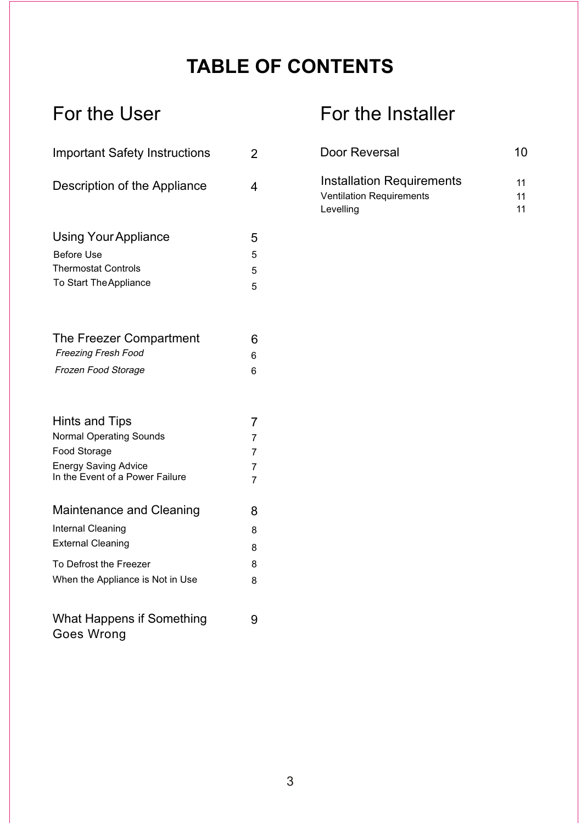## **TABLE OF CONTENTS**

| <b>Important Safety Instructions</b> |                |  |
|--------------------------------------|----------------|--|
| Description of the Appliance         | 4              |  |
| Using Your Appliance                 | 5              |  |
| <b>Before Use</b>                    | 5              |  |
| <b>Thermostat Controls</b>           | 5              |  |
| To Start The Appliance               | 5              |  |
| The Freezer Compartment              | 6              |  |
| <b>Freezing Fresh Food</b>           | 6              |  |
| Frozen Food Storage                  | 6              |  |
| Hints and Tips                       | 7              |  |
| Normal Operating Sounds              | $\overline{7}$ |  |
| Food Storage                         | $\overline{7}$ |  |
| <b>Energy Saving Advice</b>          | $\overline{7}$ |  |
| In the Event of a Power Failure      | $\overline{7}$ |  |
| Maintenance and Cleaning             | 8              |  |
| Internal Cleaning                    | 8              |  |
| <b>External Cleaning</b>             | 8              |  |
| To Defrost the Freezer               | 8              |  |
| When the Appliance is Not in Use     | 8              |  |
|                                      |                |  |

## For the User For the Installer

| Door Reversal                    | 10 |
|----------------------------------|----|
| <b>Installation Requirements</b> | 11 |
| <b>Ventilation Requirements</b>  | 11 |
| Levelling                        | 11 |

Goes Wrong What Happens if Something 9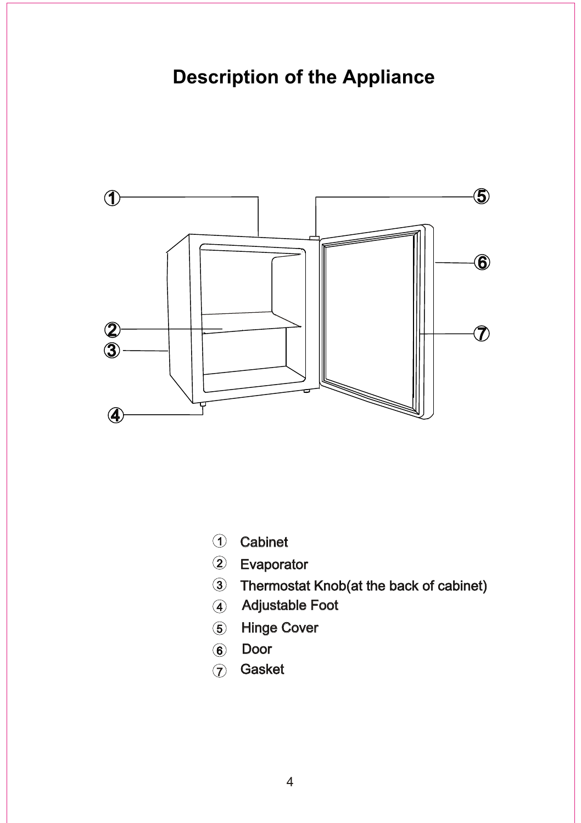## **Description of the Appliance**



- Cabinet
- Evaporator
- Thermostat Knob(at the back of cabinet)
- Adjustable Foot
- Hinge Cover
- Door
- 7 Gasket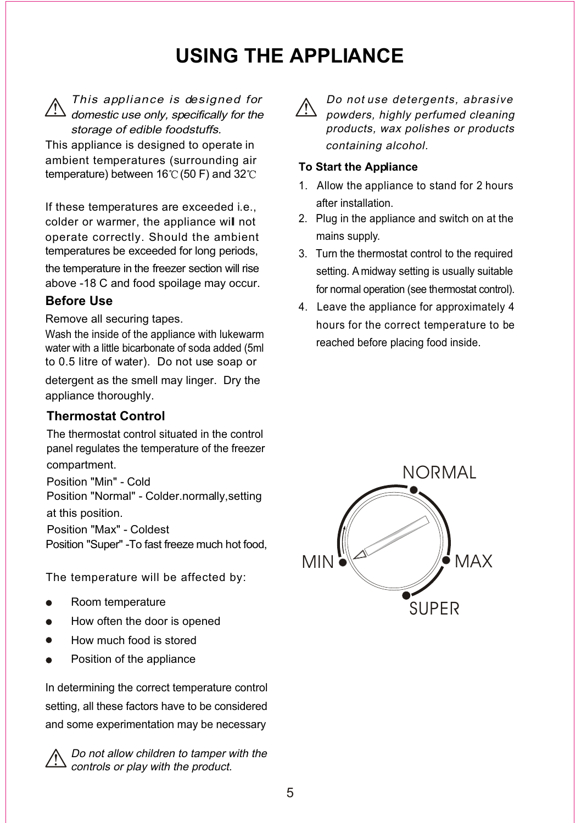## **USING THE APPLIANCE**



This appliance is designed for domestic use only, specifically for the storage of edible foodstuffs.

This appliance is designed to operate in ambient temperatures (surrounding air temperature) between  $16^{\circ}$  (50 F) and  $32^{\circ}$ C

If these temperatures are exceeded i.e., colder or warmer, the appliance will not operate correctly. Should the ambient temperatures be exceeded for long periods,

the temperature in the freezer section will rise above -18 C and food spoilage may occur.

### **Before Use**

Remove all securing tapes.

Wash the inside of the appliance with lukewarm water with a little bicarbonate of soda added (5ml to 0.5 litre of water). Do not use soap or

detergent as the smell may linger. Dry the appliance thoroughly.

### **Thermostat Control**

The thermostat control situated in the control panel regulates the temperature of the freezer compartment.

Position "Min" - Cold Position "Normal" - Colder.normally,setting at this position.

Position "Max" - Coldest

Position "Super" -To fast freeze much hot food,

The temperature will be affected by:

- Room temperature
- How often the door is opened
- How much food is stored
- Position of the appliance

In determining the correct temperature control setting, all these factors have to be considered and some experimentation may be necessary



Do not allow children to tamper with the controls or play with the product.



Do not use detergents, abrasive powders, highly perfumed cleaning products, wax polishes or products containing alcohol.

#### **To Start the Appliance**

- 1. Allow the appliance to stand for 2 hours after installation.
- 2. Plug in the appliance and switch on at the mains supply.
- 3. Turn the thermostat control to the required setting. A midway setting is usually suitable for normal operation (see thermostat control).
- 4. Leave the appliance for approximately 4 hours for the correct temperature to be reached before placing food inside.

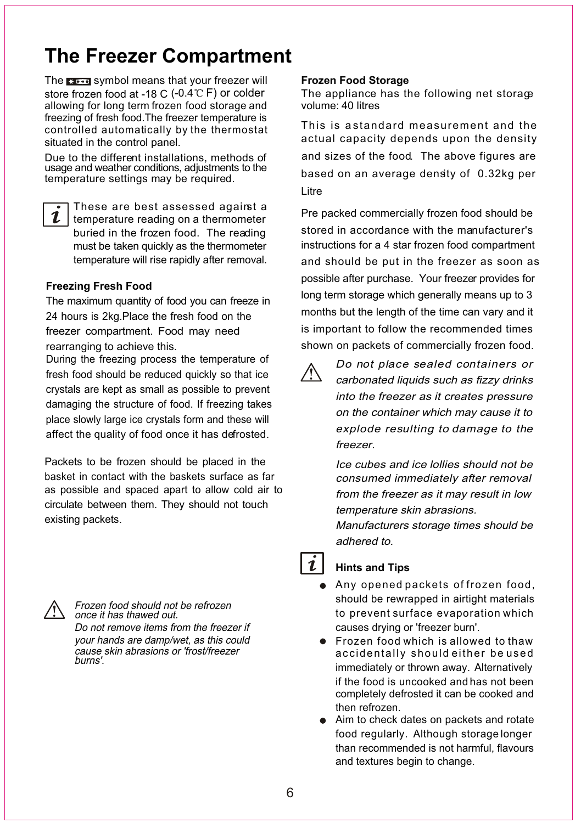## **The Freezer Compartment**

The search symbol means that your freezer will store frozen food at -18 C (-0.4 $\degree$ C F) or colder allowing for long term frozen food storage and freezing of fresh food.The freezer temperature is controlled automatically by the thermostat situated in the control panel.

Due to the different installations, methods of usage and weather conditions, adjustments to the temperature settings may be required.



These are best assessed against a temperature reading on a thermometer buried in the frozen food. The reading must be taken quickly as the thermometer temperature will rise rapidly after removal.

#### **Freezing Fresh Food**

The maximum quantity of food you can freeze in 24 hours is 2kg.Place the fresh food on the freezer compartment. Food may need rearranging to achieve this.

During the freezing process the temperature of fresh food should be reduced quickly so that ice crystals are kept as small as possible to prevent damaging the structure of food. If freezing takes place slowly large ice crystals form and these will affect the quality of food once it has defrosted.

Packets to be frozen should be placed in the basket in contact with the baskets surface as far as possible and spaced apart to allow cold air to circulate between them. They should not touch existing packets.



Frozen food should not be refrozen once it has thawed out.

Do not remove items from the freezer if your hands are damp/wet, as this could cause skin abrasions or 'frost/freezer burns'.

#### **Frozen Food Storage**

The appliance has the following net storage volume: 40 litres

This is a standard measurement and the actual capacity depends upon the density and sizes of the food. The above figures are based on an average density of 0.32kg per Litre

Pre packed commercially frozen food should be stored in accordance with the manufacturer's instructions for a 4 star frozen food compartment and should be put in the freezer as soon as possible after purchase. Your freezer provides for long term storage which generally means up to 3 months but the length of the time can vary and it is important to follow the recommended times shown on packets of commercially frozen food.



Do not place sealed containers or carbonated liquids such as fizzy drinks into the freezer as it creates pressure on the container which may cause it to explode resulting to damage to the freezer.

Ice cubes and ice lollies should not be consumed immediately after removal from the freezer as it may result in low temperature skin abrasions.

Manufacturers storage times should be adhered to.

## $\mathbf{\mathbf{1}}$

### **Hints and Tips**

- Any opened packets of frozen food, should be rewrapped in airtight materials to prevent surface evaporation which causes drying or 'freezer burn'.
- **•** Frozen food which is allowed to thaw accidentally should either be used immediately or thrown away. Alternatively if the food is uncooked and has not been completely defrosted it can be cooked and then refrozen.
- Aim to check dates on packets and rotate than recommended is not harmful, flavours and textures begin to change. food regularly. Although storage longer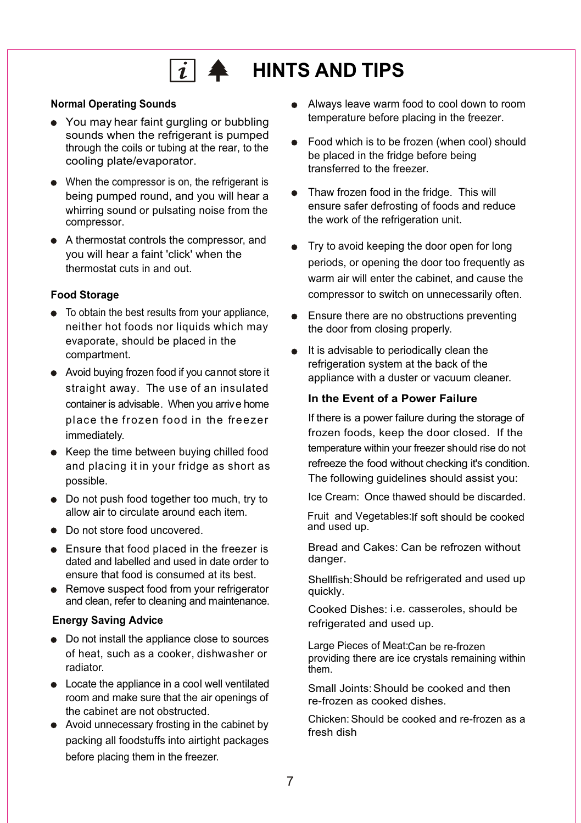# $\boxed{i}$   $\triangleq$  HINTS AND TIPS

#### **Normal Operating Sounds**

- You may hear faint gurgling or bubbling sounds when the refrigerant is pumped through the coils or tubing at the rear, to the cooling plate/evaporator.
- When the compressor is on, the refrigerant is being pumped round, and you will hear a whirring sound or pulsating noise from the compressor.
- A thermostat controls the compressor, and thermostat cuts in and out. you will hear a faint 'click' when the

### **Food Storage**

- To obtain the best results from your appliance, evaporate, should be placed in the compartment. neither hot foods nor liquids which may
- Avoid buying frozen food if you cannot store it container is advisable. When you arrive home place the frozen food in the freezer immediately. straight away. The use of an insulated
- Keep the time between buying chilled food and placing it in your fridge as short as possible.
- $\bullet$  Do not push food together too much, try to allow air to circulate around each item.
- Do not store food uncovered.
- **Ensure that food placed in the freezer is** dated and labelled and used in date order to ensure that food is consumed at its best.
- Remove suspect food from your refrigerator and clean, refer to cleaning and maintenance.

### **Energy Saving Advice**

- Do not install the appliance close to sources of heat, such as a cooker, dishwasher or radiator.
- Locate the appliance in a cool well ventilated room and make sure that the air openings of the cabinet are not obstructed.
- Avoid unnecessary frosting in the cabinet by packing all foodstuffs into airtight packages before placing them in the freezer.
- Always leave warm food to cool down to room . temperature before placing in the freezer.
- Food which is to be frozen (when cool) should be placed in the fridge before being transferred to the freezer.
- Thaw frozen food in the fridge. This will ensure safer defrosting of foods and reduce the work of the refrigeration unit.
- Try to avoid keeping the door open for long warm air will enter the cabinet, and cause the compressor to switch on unnecessarily often. periods, or opening the door too frequently as
- Ensure there are no obstructions preventing the door from closing properly.
- It is advisable to periodically clean the refrigeration system at the back of the appliance with a duster or vacuum cleaner.

#### **In the Event of a Power Failure**

If there is a power failure during the storage of frozen foods, keep the door closed. If the temperature within your freezer should rise do not refreeze the food without checking it's condition. The following guidelines should assist you:

Ice Cream: Once thawed should be discarded.

Fruit and Vegetables: If soft should be cooked and used up.

Bread and Cakes: Can be refrozen without danger.

Shellfish: Should be refrigerated and used up quickly.

Cooked Dishes: i.e. casseroles, should be refrigerated and used up.

Large Pieces of Meat: Can be re-frozen providing there are ice crystals remaining within them.

Small Joints: Should be cooked and then re-frozen as cooked dishes.

Chicken: Should be cooked and re-frozen as a fresh dish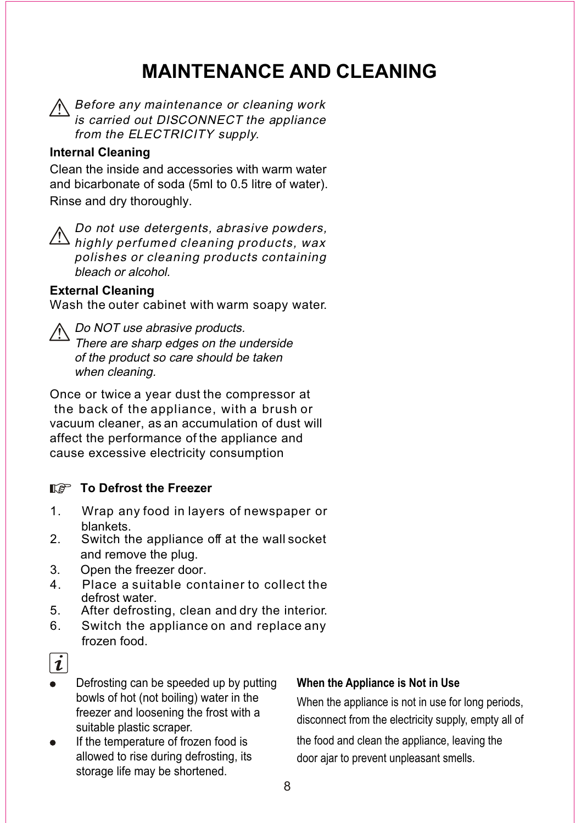## **MAINTENANCE AND CLEANING**

Before any maintenance or cleaning work is carried out DISCONNECT the appliance from the ELECTRICITY supply.

## **Internal Cleaning**

Clean the inside and accessories with warm water and bicarbonate of soda (5ml to 0.5 litre of water). Rinse and dry thoroughly.

Do not use detergents, abrasive powders,  $\Delta$  highly perfumed cleaning products, wax polishes or cleaning products containing bleach or alcohol.

### **External Cleaning**

Wash the outer cabinet with warm soapy water.

## A Do NOT use abrasive products.

There are sharp edges on the underside of the product so care should be taken when cleaning.

Once or twice a year dust the compressor at the back of the appliance, with a brush or vacuum cleaner, as an accumulation of dust will affect the performance of the appliance and cause excessive electricity consumption

### **The Defrost the Freezer**

- 1. Wrap any food in layers of newspaper or blankets.
- 2. Switch the appliance off at the wall socket and remove the plug.
- 3. Open the freezer door.
- 4. Place a suitable container to collect the defrost water.
- 5. After defrosting, clean and dry the interior.
- 6. Switch the appliance on and replace any frozen food.



- Defrosting can be speeded up by putting bowls of hot (not boiling) water in the freezer and loosening the frost with a suitable plastic scraper.
- If the temperature of frozen food is allowed to rise during defrosting, its storage life may be shortened.

#### **When the Appliance is Not in Use**

When the appliance is not in use for long periods, disconnect from the electricity supply, empty all of

the food and clean the appliance, leaving the door ajar to prevent unpleasant smells.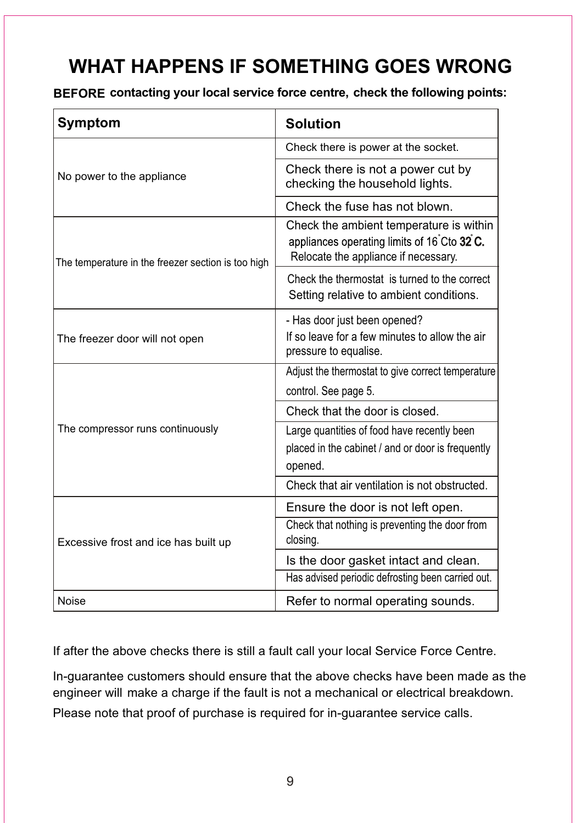## **WHAT HAPPENS IF SOMETHING GOES WRONG**

**BEFORE contacting your local service force centre, check the following points:**

| <b>Symptom</b>                                     | <b>Solution</b>                                                                                                                |
|----------------------------------------------------|--------------------------------------------------------------------------------------------------------------------------------|
| No power to the appliance                          | Check there is power at the socket.                                                                                            |
|                                                    | Check there is not a power cut by<br>checking the household lights.                                                            |
|                                                    | Check the fuse has not blown.                                                                                                  |
| The temperature in the freezer section is too high | Check the ambient temperature is within<br>appliances operating limits of 16°Cto 32°C.<br>Relocate the appliance if necessary. |
|                                                    | Check the thermostat is turned to the correct<br>Setting relative to ambient conditions.                                       |
| The freezer door will not open                     | - Has door just been opened?<br>If so leave for a few minutes to allow the air<br>pressure to equalise.                        |
| The compressor runs continuously                   | Adjust the thermostat to give correct temperature                                                                              |
|                                                    | control. See page 5.                                                                                                           |
|                                                    | Check that the door is closed.                                                                                                 |
|                                                    | Large quantities of food have recently been<br>placed in the cabinet / and or door is frequently<br>opened.                    |
|                                                    | Check that air ventilation is not obstructed.                                                                                  |
| Excessive frost and ice has built up               | Ensure the door is not left open.                                                                                              |
|                                                    | Check that nothing is preventing the door from<br>closing.                                                                     |
|                                                    | Is the door gasket intact and clean.                                                                                           |
|                                                    | Has advised periodic defrosting been carried out.                                                                              |
| Noise                                              | Refer to normal operating sounds.                                                                                              |

If after the above checks there is still a fault call your local Service Force Centre.

In-guarantee customers should ensure that the above checks have been made as the engineer will make a charge if the fault is not a mechanical or electrical breakdown. Please note that proof of purchase is required for in-guarantee service calls.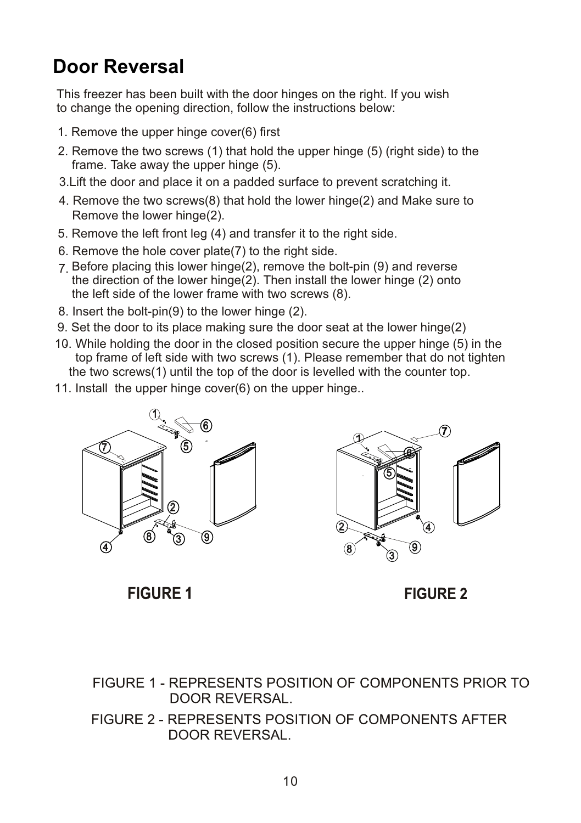## **Door Reversal**

This freezer has been built with the door hinges on the right. If you wish to change the opening direction, follow the instructions below:

- 1. Remove the upper hinge cover(6) first
- 2. Remove the two screws (1) that hold the upper hinge (5) (right side) to the frame. Take away the upper hinge (5).
- 3.Lift the door and place it on a padded surface to prevent scratching it.
- 4. Remove the two screws(8) that hold the lower hinge(2) and Make sure to Remove the lower hinge(2).
- 5. Remove the left front leg (4) and transfer it to the right side.
- 6. Remove the hole cover plate(7) to the right side.
- 7. Before placing this lower hinge(2), remove the bolt-pin (9) and reverse the direction of the lower hinge(2). Then install the lower hinge (2) onto the left side of the lower frame with two screws (8).
- 8. Insert the bolt-pin(9) to the lower hinge (2).
- 9. Set the door to its place making sure the door seat at the lower hinge(2)
- . 10. While holding the door in the closed position secure the upper hinge (5) in the top frame of left side with two screws (1). Please remember that do not tighten the two screws(1) until the top of the door is levelled with the counter top.
- 11. Install the upper hinge cover(6) on the upper hinge..





**FIGURE 1** 

**FIGURE 2** 

FIGURE 1 - REPRESENTS POSITION OF COMPONENTS PRIOR TO **DOOR REVERSAL.** 

FIGURE 2 - REPRESENTS POSITION OF COMPONENTS AFTER **DOOR REVERSAL.**